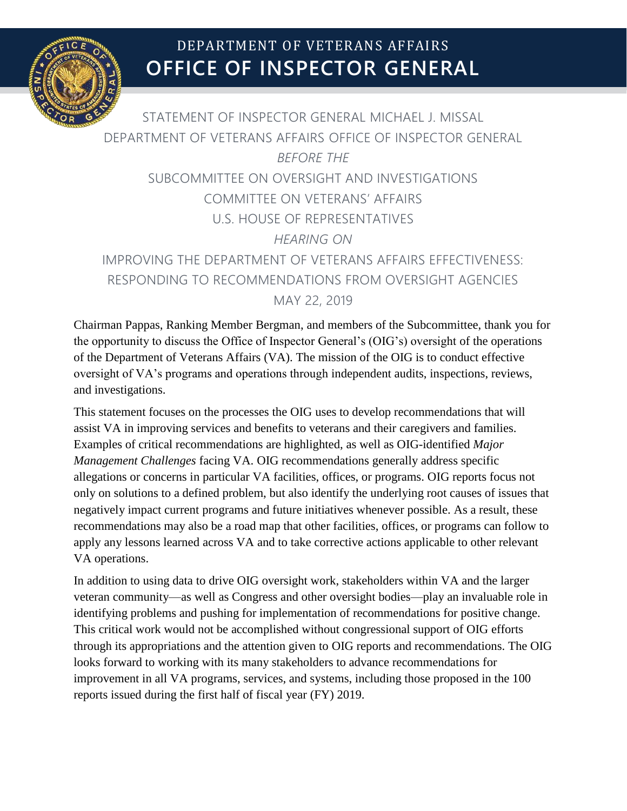

# **OFFICE OF INSPECTOR GENERAL** DEPARTMENT OF VETERANS AFFAIRS

STATEMENT OF INSPECTOR GENERAL MICHAEL J. MISSAL DEPARTMENT OF VETERANS AFFAIRS OFFICE OF INSPECTOR GENERAL *BEFORE THE* SUBCOMMITTEE ON OVERSIGHT AND INVESTIGATIONS COMMITTEE ON VETERANS' AFFAIRS U.S. HOUSE OF REPRESENTATIVES *HEARING ON* IMPROVING THE DEPARTMENT OF VETERANS AFFAIRS EFFECTIVENESS: RESPONDING TO RECOMMENDATIONS FROM OVERSIGHT AGENCIES MAY 22, 2019

Chairman Pappas, Ranking Member Bergman, and members of the Subcommittee, thank you for the opportunity to discuss the Office of Inspector General's (OIG's) oversight of the operations of the Department of Veterans Affairs (VA). The mission of the OIG is to conduct effective oversight of VA's programs and operations through independent audits, inspections, reviews, and investigations.

This statement focuses on the processes the OIG uses to develop recommendations that will assist VA in improving services and benefits to veterans and their caregivers and families. Examples of critical recommendations are highlighted, as well as OIG-identified *Major Management Challenges* facing VA. OIG recommendations generally address specific allegations or concerns in particular VA facilities, offices, or programs. OIG reports focus not only on solutions to a defined problem, but also identify the underlying root causes of issues that negatively impact current programs and future initiatives whenever possible. As a result, these recommendations may also be a road map that other facilities, offices, or programs can follow to apply any lessons learned across VA and to take corrective actions applicable to other relevant VA operations.

In addition to using data to drive OIG oversight work, stakeholders within VA and the larger veteran community—as well as Congress and other oversight bodies—play an invaluable role in identifying problems and pushing for implementation of recommendations for positive change. This critical work would not be accomplished without congressional support of OIG efforts through its appropriations and the attention given to OIG reports and recommendations. The OIG looks forward to working with its many stakeholders to advance recommendations for improvement in all VA programs, services, and systems, including those proposed in the 100 reports issued during the first half of fiscal year (FY) 2019.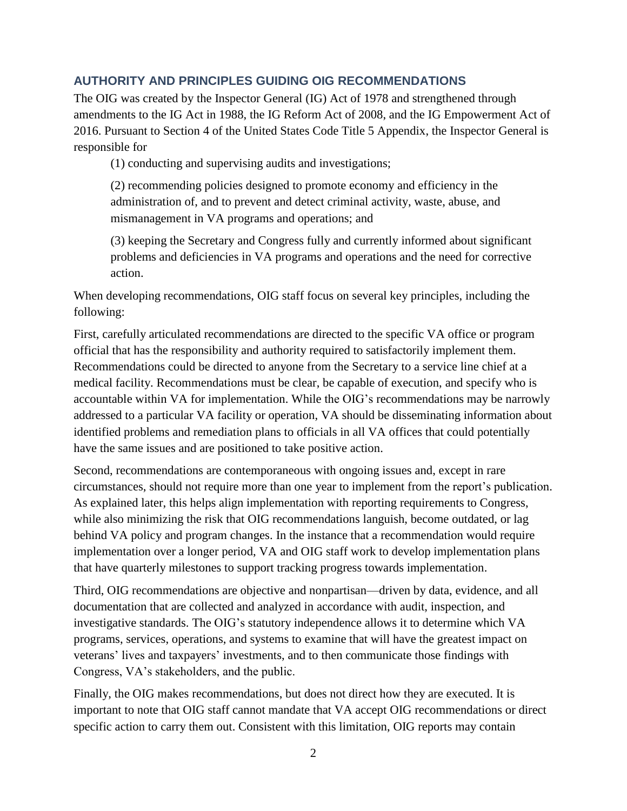# **AUTHORITY AND PRINCIPLES GUIDING OIG RECOMMENDATIONS**

The OIG was created by the Inspector General (IG) Act of 1978 and strengthened through amendments to the IG Act in 1988, the IG Reform Act of 2008, and the IG Empowerment Act of 2016. Pursuant to Section 4 of the United States Code Title 5 Appendix, the Inspector General is responsible for

(1) conducting and supervising audits and investigations;

(2) recommending policies designed to promote economy and efficiency in the administration of, and to prevent and detect criminal activity, waste, abuse, and mismanagement in VA programs and operations; and

(3) keeping the Secretary and Congress fully and currently informed about significant problems and deficiencies in VA programs and operations and the need for corrective action.

When developing recommendations, OIG staff focus on several key principles, including the following:

First, carefully articulated recommendations are directed to the specific VA office or program official that has the responsibility and authority required to satisfactorily implement them. Recommendations could be directed to anyone from the Secretary to a service line chief at a medical facility. Recommendations must be clear, be capable of execution, and specify who is accountable within VA for implementation. While the OIG's recommendations may be narrowly addressed to a particular VA facility or operation, VA should be disseminating information about identified problems and remediation plans to officials in all VA offices that could potentially have the same issues and are positioned to take positive action.

Second, recommendations are contemporaneous with ongoing issues and, except in rare circumstances, should not require more than one year to implement from the report's publication. As explained later, this helps align implementation with reporting requirements to Congress, while also minimizing the risk that OIG recommendations languish, become outdated, or lag behind VA policy and program changes. In the instance that a recommendation would require implementation over a longer period, VA and OIG staff work to develop implementation plans that have quarterly milestones to support tracking progress towards implementation.

Third, OIG recommendations are objective and nonpartisan—driven by data, evidence, and all documentation that are collected and analyzed in accordance with audit, inspection, and investigative standards. The OIG's statutory independence allows it to determine which VA programs, services, operations, and systems to examine that will have the greatest impact on veterans' lives and taxpayers' investments, and to then communicate those findings with Congress, VA's stakeholders, and the public.

Finally, the OIG makes recommendations, but does not direct how they are executed. It is important to note that OIG staff cannot mandate that VA accept OIG recommendations or direct specific action to carry them out. Consistent with this limitation, OIG reports may contain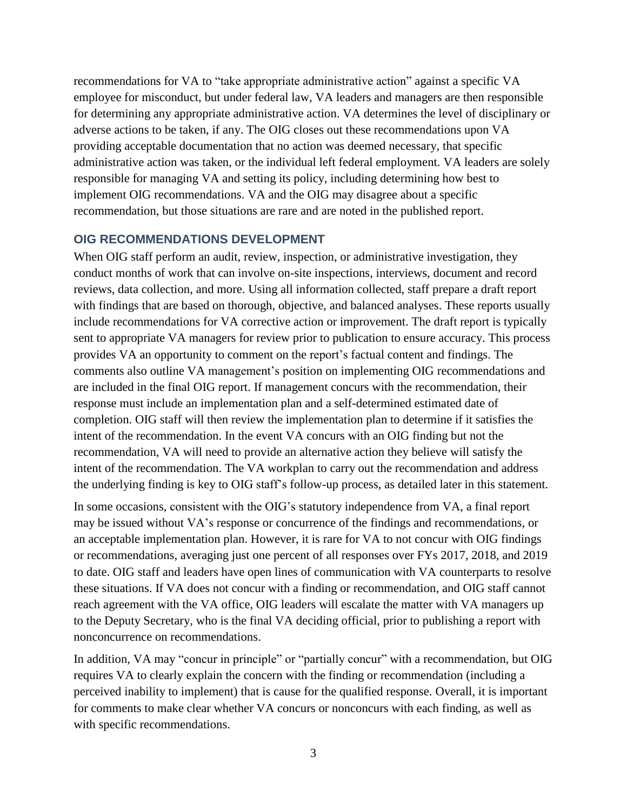recommendations for VA to "take appropriate administrative action" against a specific VA employee for misconduct, but under federal law, VA leaders and managers are then responsible for determining any appropriate administrative action. VA determines the level of disciplinary or adverse actions to be taken, if any. The OIG closes out these recommendations upon VA providing acceptable documentation that no action was deemed necessary, that specific administrative action was taken, or the individual left federal employment. VA leaders are solely responsible for managing VA and setting its policy, including determining how best to implement OIG recommendations. VA and the OIG may disagree about a specific recommendation, but those situations are rare and are noted in the published report.

#### **OIG RECOMMENDATIONS DEVELOPMENT**

When OIG staff perform an audit, review, inspection, or administrative investigation, they conduct months of work that can involve on-site inspections, interviews, document and record reviews, data collection, and more. Using all information collected, staff prepare a draft report with findings that are based on thorough, objective, and balanced analyses. These reports usually include recommendations for VA corrective action or improvement. The draft report is typically sent to appropriate VA managers for review prior to publication to ensure accuracy. This process provides VA an opportunity to comment on the report's factual content and findings. The comments also outline VA management's position on implementing OIG recommendations and are included in the final OIG report. If management concurs with the recommendation, their response must include an implementation plan and a self-determined estimated date of completion. OIG staff will then review the implementation plan to determine if it satisfies the intent of the recommendation. In the event VA concurs with an OIG finding but not the recommendation, VA will need to provide an alternative action they believe will satisfy the intent of the recommendation. The VA workplan to carry out the recommendation and address the underlying finding is key to OIG staff's follow-up process, as detailed later in this statement.

In some occasions, consistent with the OIG's statutory independence from VA, a final report may be issued without VA's response or concurrence of the findings and recommendations, or an acceptable implementation plan. However, it is rare for VA to not concur with OIG findings or recommendations, averaging just one percent of all responses over FYs 2017, 2018, and 2019 to date. OIG staff and leaders have open lines of communication with VA counterparts to resolve these situations. If VA does not concur with a finding or recommendation, and OIG staff cannot reach agreement with the VA office, OIG leaders will escalate the matter with VA managers up to the Deputy Secretary, who is the final VA deciding official, prior to publishing a report with nonconcurrence on recommendations.

In addition, VA may "concur in principle" or "partially concur" with a recommendation, but OIG requires VA to clearly explain the concern with the finding or recommendation (including a perceived inability to implement) that is cause for the qualified response. Overall, it is important for comments to make clear whether VA concurs or nonconcurs with each finding, as well as with specific recommendations.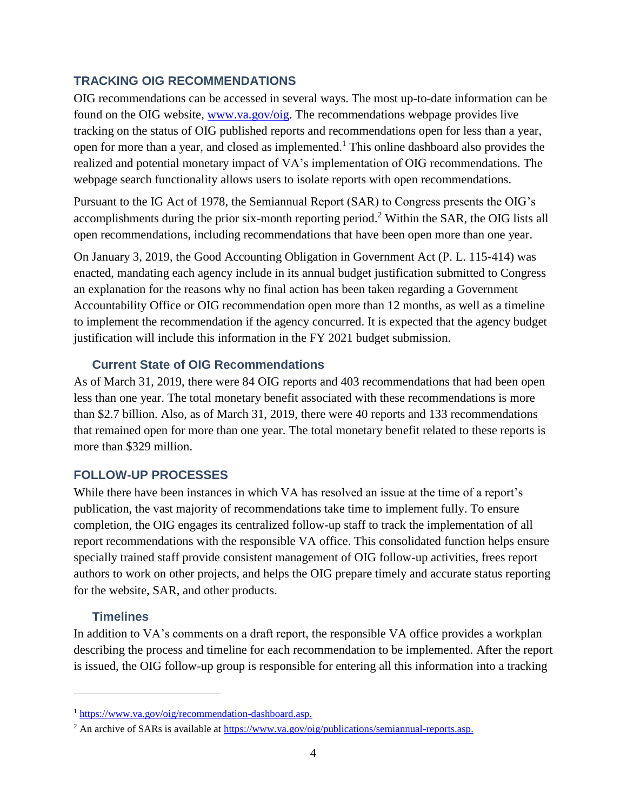## **TRACKING OIG RECOMMENDATIONS**

OIG recommendations can be accessed in several ways. The most up-to-date information can be found on the OIG website, [www.va.gov/oig.](https://www.va.gov/oig) The recommendations webpage provides live tracking on the status of OIG published reports and recommendations open for less than a year, open for more than a year, and closed as implemented. <sup>1</sup> This online dashboard also provides the realized and potential monetary impact of VA's implementation of OIG recommendations. The webpage search functionality allows users to isolate reports with open recommendations.

Pursuant to the IG Act of 1978, the Semiannual Report (SAR) to Congress presents the OIG's accomplishments during the prior six-month reporting period.<sup>2</sup> Within the SAR, the OIG lists all open recommendations, including recommendations that have been open more than one year.

On January 3, 2019, the Good Accounting Obligation in Government Act (P. L. 115-414) was enacted, mandating each agency include in its annual budget justification submitted to Congress an explanation for the reasons why no final action has been taken regarding a Government Accountability Office or OIG recommendation open more than 12 months, as well as a timeline to implement the recommendation if the agency concurred. It is expected that the agency budget justification will include this information in the FY 2021 budget submission.

## **Current State of OIG Recommendations**

As of March 31, 2019, there were 84 OIG reports and 403 recommendations that had been open less than one year. The total monetary benefit associated with these recommendations is more than \$2.7 billion. Also, as of March 31, 2019, there were 40 reports and 133 recommendations that remained open for more than one year. The total monetary benefit related to these reports is more than \$329 million.

# **FOLLOW-UP PROCESSES**

While there have been instances in which VA has resolved an issue at the time of a report's publication, the vast majority of recommendations take time to implement fully. To ensure completion, the OIG engages its centralized follow-up staff to track the implementation of all report recommendations with the responsible VA office. This consolidated function helps ensure specially trained staff provide consistent management of OIG follow-up activities, frees report authors to work on other projects, and helps the OIG prepare timely and accurate status reporting for the website, SAR, and other products.

## **Timelines**

 $\overline{a}$ 

In addition to VA's comments on a draft report, the responsible VA office provides a workplan describing the process and timeline for each recommendation to be implemented. After the report is issued, the OIG follow-up group is responsible for entering all this information into a tracking

<sup>1</sup> [https://www.va.gov/oig/recommendation-dashboard.asp.](http://www.va.gov/oig/recommendation-dashboard.asp)

<sup>&</sup>lt;sup>2</sup> An archive of SARs is available a[t https://www.va.gov/oig/publications/semiannual-reports.asp.](https://www.va.gov/oig/publications/semiannual-reports.asp)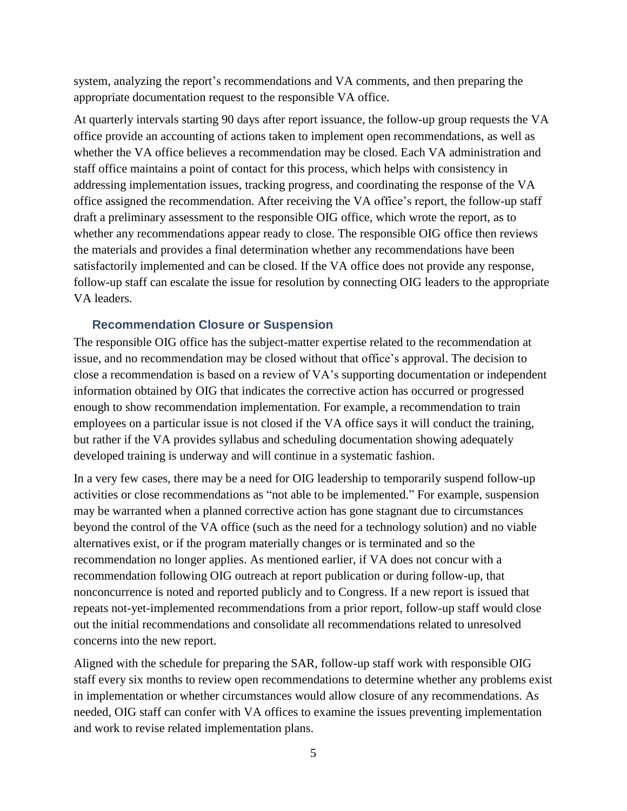system, analyzing the report's recommendations and VA comments, and then preparing the appropriate documentation request to the responsible VA office.

At quarterly intervals starting 90 days after report issuance, the follow-up group requests the VA office provide an accounting of actions taken to implement open recommendations, as well as whether the VA office believes a recommendation may be closed. Each VA administration and staff office maintains a point of contact for this process, which helps with consistency in addressing implementation issues, tracking progress, and coordinating the response of the VA office assigned the recommendation. After receiving the VA office's report, the follow-up staff draft a preliminary assessment to the responsible OIG office, which wrote the report, as to whether any recommendations appear ready to close. The responsible OIG office then reviews the materials and provides a final determination whether any recommendations have been satisfactorily implemented and can be closed. If the VA office does not provide any response, follow-up staff can escalate the issue for resolution by connecting OIG leaders to the appropriate VA leaders.

#### **Recommendation Closure or Suspension**

The responsible OIG office has the subject-matter expertise related to the recommendation at issue, and no recommendation may be closed without that office's approval. The decision to close a recommendation is based on a review of VA's supporting documentation or independent information obtained by OIG that indicates the corrective action has occurred or progressed enough to show recommendation implementation. For example, a recommendation to train employees on a particular issue is not closed if the VA office says it will conduct the training, but rather if the VA provides syllabus and scheduling documentation showing adequately developed training is underway and will continue in a systematic fashion.

In a very few cases, there may be a need for OIG leadership to temporarily suspend follow-up activities or close recommendations as "not able to be implemented." For example, suspension may be warranted when a planned corrective action has gone stagnant due to circumstances beyond the control of the VA office (such as the need for a technology solution) and no viable alternatives exist, or if the program materially changes or is terminated and so the recommendation no longer applies. As mentioned earlier, if VA does not concur with a recommendation following OIG outreach at report publication or during follow-up, that nonconcurrence is noted and reported publicly and to Congress. If a new report is issued that repeats not-yet-implemented recommendations from a prior report, follow-up staff would close out the initial recommendations and consolidate all recommendations related to unresolved concerns into the new report.

Aligned with the schedule for preparing the SAR, follow-up staff work with responsible OIG staff every six months to review open recommendations to determine whether any problems exist in implementation or whether circumstances would allow closure of any recommendations. As needed, OIG staff can confer with VA offices to examine the issues preventing implementation and work to revise related implementation plans.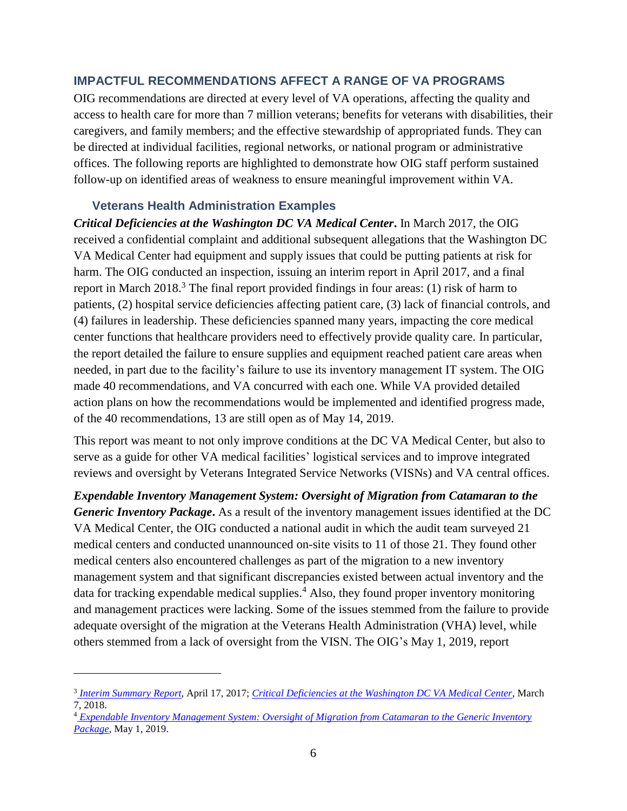# **IMPACTFUL RECOMMENDATIONS AFFECT A RANGE OF VA PROGRAMS**

OIG recommendations are directed at every level of VA operations, affecting the quality and access to health care for more than 7 million veterans; benefits for veterans with disabilities, their caregivers, and family members; and the effective stewardship of appropriated funds. They can be directed at individual facilities, regional networks, or national program or administrative offices. The following reports are highlighted to demonstrate how OIG staff perform sustained follow-up on identified areas of weakness to ensure meaningful improvement within VA.

#### **Veterans Health Administration Examples**

 $\overline{a}$ 

*Critical Deficiencies at the Washington DC VA Medical Center***.** In March 2017, the OIG received a confidential complaint and additional subsequent allegations that the Washington DC VA Medical Center had equipment and supply issues that could be putting patients at risk for harm. The OIG conducted an inspection, issuing an interim report in April 2017, and a final report in March  $2018<sup>3</sup>$ . The final report provided findings in four areas: (1) risk of harm to patients, (2) hospital service deficiencies affecting patient care, (3) lack of financial controls, and (4) failures in leadership. These deficiencies spanned many years, impacting the core medical center functions that healthcare providers need to effectively provide quality care. In particular, the report detailed the failure to ensure supplies and equipment reached patient care areas when needed, in part due to the facility's failure to use its inventory management IT system. The OIG made 40 recommendations, and VA concurred with each one. While VA provided detailed action plans on how the recommendations would be implemented and identified progress made, of the 40 recommendations, 13 are still open as of May 14, 2019.

This report was meant to not only improve conditions at the DC VA Medical Center, but also to serve as a guide for other VA medical facilities' logistical services and to improve integrated reviews and oversight by Veterans Integrated Service Networks (VISNs) and VA central offices.

*Expendable Inventory Management System: Oversight of Migration from Catamaran to the Generic Inventory Package***.** As a result of the inventory management issues identified at the DC VA Medical Center, the OIG conducted a national audit in which the audit team surveyed 21 medical centers and conducted unannounced on-site visits to 11 of those 21. They found other medical centers also encountered challenges as part of the migration to a new inventory management system and that significant discrepancies existed between actual inventory and the data for tracking expendable medical supplies.<sup>4</sup> Also, they found proper inventory monitoring and management practices were lacking. Some of the issues stemmed from the failure to provide adequate oversight of the migration at the Veterans Health Administration (VHA) level, while others stemmed from a lack of oversight from the VISN. The OIG's May 1, 2019, report

<sup>3</sup> *[Interim Summary Report](http://www.va.gov/oig/pubs/VAOIG-17-02644-202.pdf)*, April 17, 2017; *[Critical Deficiencies at the Washington DC VA Medical Center](http://www.va.gov/oig/pubs/VAOIG-17-02644-130.pdf)*, March 7, 2018.

<sup>4</sup> *[Expendable Inventory Management System: Oversight of Migration from Catamaran to the Generic Inventory](https://www.va.gov/oig/pubs/VAOIG-17-05246-98.pdf)  [Package](https://www.va.gov/oig/pubs/VAOIG-17-05246-98.pdf)*, May 1, 2019.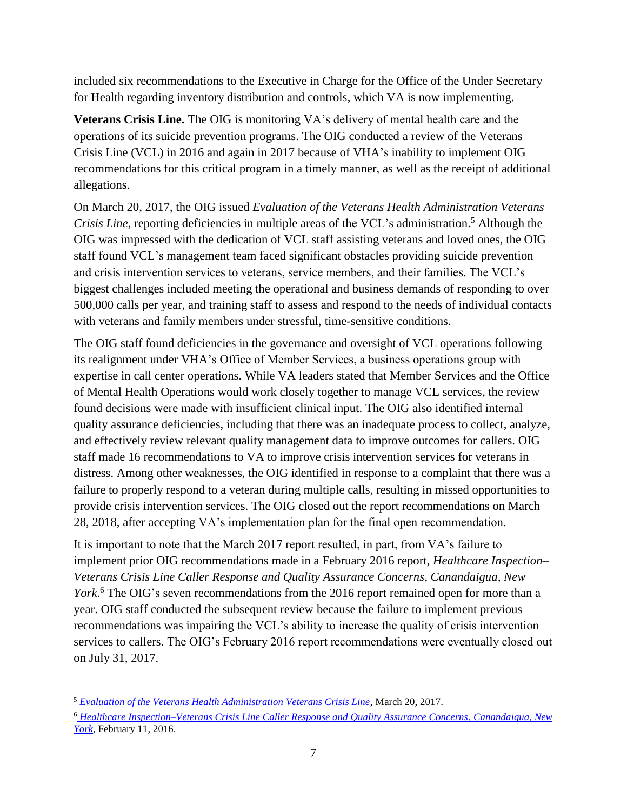included six recommendations to the Executive in Charge for the Office of the Under Secretary for Health regarding inventory distribution and controls, which VA is now implementing.

**Veterans Crisis Line.** The OIG is monitoring VA's delivery of mental health care and the operations of its suicide prevention programs. The OIG conducted a review of the Veterans Crisis Line (VCL) in 2016 and again in 2017 because of VHA's inability to implement OIG recommendations for this critical program in a timely manner, as well as the receipt of additional allegations.

On March 20, 2017, the OIG issued *Evaluation of the Veterans Health Administration Veterans Crisis Line*, reporting deficiencies in multiple areas of the VCL's administration.<sup>5</sup> Although the OIG was impressed with the dedication of VCL staff assisting veterans and loved ones, the OIG staff found VCL's management team faced significant obstacles providing suicide prevention and crisis intervention services to veterans, service members, and their families. The VCL's biggest challenges included meeting the operational and business demands of responding to over 500,000 calls per year, and training staff to assess and respond to the needs of individual contacts with veterans and family members under stressful, time-sensitive conditions.

The OIG staff found deficiencies in the governance and oversight of VCL operations following its realignment under VHA's Office of Member Services, a business operations group with expertise in call center operations. While VA leaders stated that Member Services and the Office of Mental Health Operations would work closely together to manage VCL services, the review found decisions were made with insufficient clinical input. The OIG also identified internal quality assurance deficiencies, including that there was an inadequate process to collect, analyze, and effectively review relevant quality management data to improve outcomes for callers. OIG staff made 16 recommendations to VA to improve crisis intervention services for veterans in distress. Among other weaknesses, the OIG identified in response to a complaint that there was a failure to properly respond to a veteran during multiple calls, resulting in missed opportunities to provide crisis intervention services. The OIG closed out the report recommendations on March 28, 2018, after accepting VA's implementation plan for the final open recommendation.

It is important to note that the March 2017 report resulted, in part, from VA's failure to implement prior OIG recommendations made in a February 2016 report, *Healthcare Inspection– Veterans Crisis Line Caller Response and Quality Assurance Concerns, Canandaigua, New*  York.<sup>6</sup> The OIG's seven recommendations from the 2016 report remained open for more than a year. OIG staff conducted the subsequent review because the failure to implement previous recommendations was impairing the VCL's ability to increase the quality of crisis intervention services to callers. The OIG's February 2016 report recommendations were eventually closed out on July 31, 2017.

<sup>5</sup> *[Evaluation of the Veterans Health Administration Veterans Crisis Line](https://www.va.gov/oig/pubs/VAOIG-16-03985-181.pdf)*, March 20, 2017.

<sup>6</sup> *[Healthcare Inspection–Veterans Crisis Line Caller Response and Quality Assurance Concerns,](http://www.va.gov/oig/pubs/VAOIG-14-03540-123.pdf) Canandaigua, New [York](http://www.va.gov/oig/pubs/VAOIG-14-03540-123.pdf)*, February 11, 2016.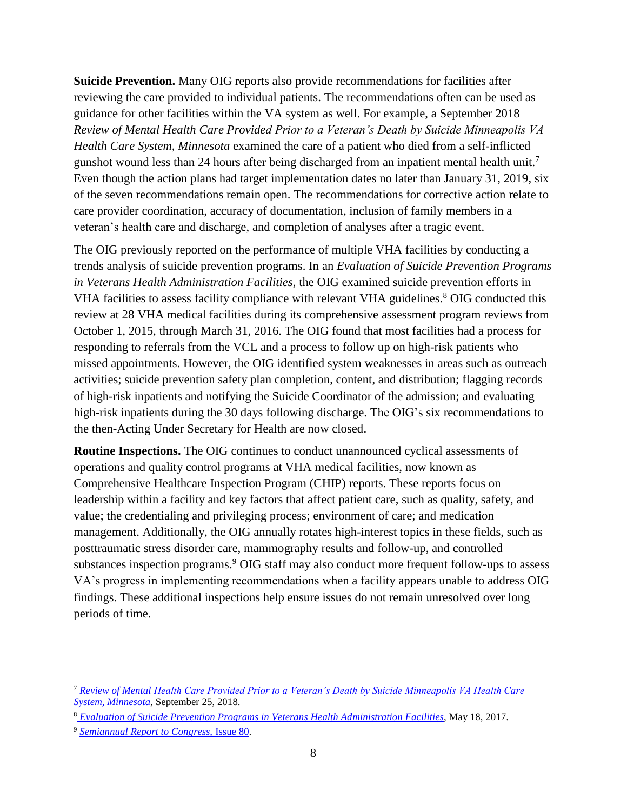**Suicide Prevention.** Many OIG reports also provide recommendations for facilities after reviewing the care provided to individual patients. The recommendations often can be used as guidance for other facilities within the VA system as well. For example, a September 2018 *Review of Mental Health Care Provided Prior to a Veteran's Death by Suicide Minneapolis VA Health Care System, Minnesota* examined the care of a patient who died from a self-inflicted gunshot wound less than 24 hours after being discharged from an inpatient mental health unit.<sup>7</sup> Even though the action plans had target implementation dates no later than January 31, 2019, six of the seven recommendations remain open. The recommendations for corrective action relate to care provider coordination, accuracy of documentation, inclusion of family members in a veteran's health care and discharge, and completion of analyses after a tragic event.

The OIG previously reported on the performance of multiple VHA facilities by conducting a trends analysis of suicide prevention programs. In an *Evaluation of Suicide Prevention Programs in Veterans Health Administration Facilities*, the OIG examined suicide prevention efforts in VHA facilities to assess facility compliance with relevant VHA guidelines.<sup>8</sup> OIG conducted this review at 28 VHA medical facilities during its comprehensive assessment program reviews from October 1, 2015, through March 31, 2016. The OIG found that most facilities had a process for responding to referrals from the VCL and a process to follow up on high-risk patients who missed appointments. However, the OIG identified system weaknesses in areas such as outreach activities; suicide prevention safety plan completion, content, and distribution; flagging records of high-risk inpatients and notifying the Suicide Coordinator of the admission; and evaluating high-risk inpatients during the 30 days following discharge. The OIG's six recommendations to the then-Acting Under Secretary for Health are now closed.

**Routine Inspections.** The OIG continues to conduct unannounced cyclical assessments of operations and quality control programs at VHA medical facilities, now known as Comprehensive Healthcare Inspection Program (CHIP) reports. These reports focus on leadership within a facility and key factors that affect patient care, such as quality, safety, and value; the credentialing and privileging process; environment of care; and medication management. Additionally, the OIG annually rotates high-interest topics in these fields, such as posttraumatic stress disorder care, mammography results and follow-up, and controlled substances inspection programs. <sup>9</sup> OIG staff may also conduct more frequent follow-ups to assess VA's progress in implementing recommendations when a facility appears unable to address OIG findings. These additional inspections help ensure issues do not remain unresolved over long periods of time.

<sup>7</sup> *[Review of Mental Health Care Provided Prior to a Veteran's Death by Suicide Minneapolis VA Health Care](https://www.va.gov/oig/pubs/VAOIG-18-02875-305.pdf)  [System, Minnesota,](https://www.va.gov/oig/pubs/VAOIG-18-02875-305.pdf)* September 25, 2018.

<sup>8</sup> *[Evaluation of Suicide Prevention Programs in Veterans Health Administration Facilities](http://www.va.gov/oig/pubs/VAOIG-16-03808-215.pdf)*, May 18, 2017.

<sup>9</sup> *[Semiannual Report to Congress,](https://www.va.gov/oig/pubs/sars/vaoig-sar-2018-2.pdf)* Issue 80*.*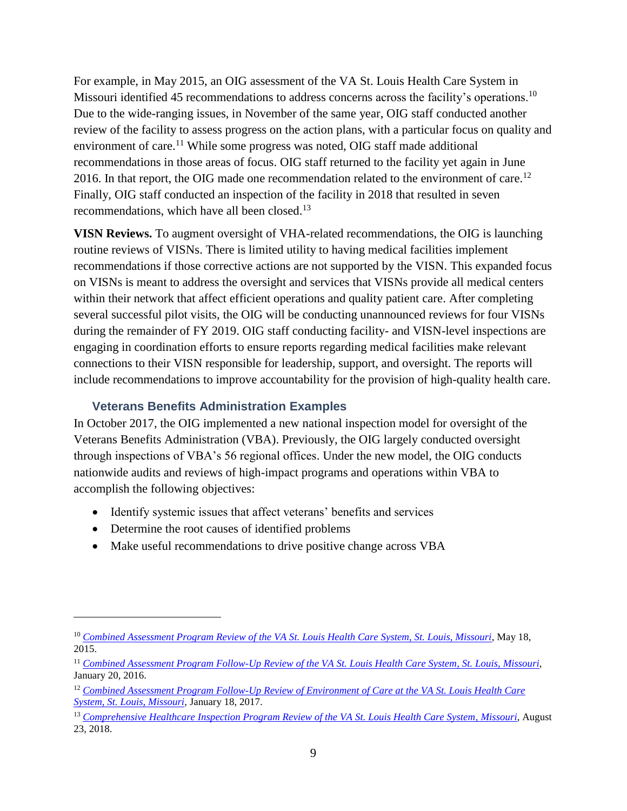For example, in May 2015, an OIG assessment of the VA St. Louis Health Care System in Missouri identified 45 recommendations to address concerns across the facility's operations.<sup>10</sup> Due to the wide-ranging issues, in November of the same year, OIG staff conducted another review of the facility to assess progress on the action plans, with a particular focus on quality and environment of care.<sup>11</sup> While some progress was noted, OIG staff made additional recommendations in those areas of focus. OIG staff returned to the facility yet again in June 2016. In that report, the OIG made one recommendation related to the environment of care.<sup>12</sup> Finally, OIG staff conducted an inspection of the facility in 2018 that resulted in seven recommendations, which have all been closed.<sup>13</sup>

**VISN Reviews.** To augment oversight of VHA-related recommendations, the OIG is launching routine reviews of VISNs. There is limited utility to having medical facilities implement recommendations if those corrective actions are not supported by the VISN. This expanded focus on VISNs is meant to address the oversight and services that VISNs provide all medical centers within their network that affect efficient operations and quality patient care. After completing several successful pilot visits, the OIG will be conducting unannounced reviews for four VISNs during the remainder of FY 2019. OIG staff conducting facility- and VISN-level inspections are engaging in coordination efforts to ensure reports regarding medical facilities make relevant connections to their VISN responsible for leadership, support, and oversight. The reports will include recommendations to improve accountability for the provision of high-quality health care.

## **Veterans Benefits Administration Examples**

In October 2017, the OIG implemented a new national inspection model for oversight of the Veterans Benefits Administration (VBA). Previously, the OIG largely conducted oversight through inspections of VBA's 56 regional offices. Under the new model, the OIG conducts nationwide audits and reviews of high-impact programs and operations within VBA to accomplish the following objectives:

- Identify systemic issues that affect veterans' benefits and services
- Determine the root causes of identified problems

 $\overline{a}$ 

• Make useful recommendations to drive positive change across VBA

<sup>10</sup> *[Combined Assessment Program Review of the VA St. Louis Health Care System, St. Louis, Missouri](http://www.va.gov/oig/pubs/VAOIG-15-00075-351.pdf)*, May 18, 2015.

<sup>11</sup> *[Combined Assessment Program Follow-Up Review of the VA St. Louis Health Care System,](https://www.va.gov/oig/pubs/VAOIG-15-00075-87.pdf) St. Louis, Missouri*, January 20, 2016.

<sup>12</sup> *[Combined Assessment Program Follow-Up Review of Environment of Care at the VA St. Louis Health Care](https://www.va.gov/oig/pubs/VAOIG-15-00075-449.pdf)  [System, St. Louis, Missouri](https://www.va.gov/oig/pubs/VAOIG-15-00075-449.pdf)*, January 18, 2017.

<sup>13</sup> *[Comprehensive Healthcare Inspection Program Review of the VA St. Louis Health Care System,](https://www.va.gov/oig/pubs/VAOIG-18-00612-260.pdf) Missouri*, August 23, 2018.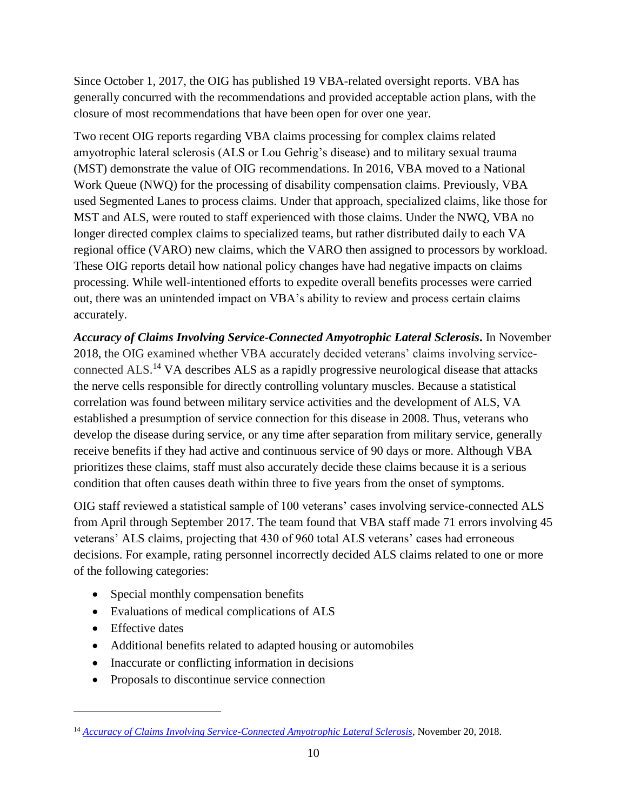Since October 1, 2017, the OIG has published 19 VBA-related oversight reports. VBA has generally concurred with the recommendations and provided acceptable action plans, with the closure of most recommendations that have been open for over one year.

Two recent OIG reports regarding VBA claims processing for complex claims related amyotrophic lateral sclerosis (ALS or Lou Gehrig's disease) and to military sexual trauma (MST) demonstrate the value of OIG recommendations. In 2016, VBA moved to a National Work Queue (NWQ) for the processing of disability compensation claims. Previously, VBA used Segmented Lanes to process claims. Under that approach, specialized claims, like those for MST and ALS, were routed to staff experienced with those claims. Under the NWQ, VBA no longer directed complex claims to specialized teams, but rather distributed daily to each VA regional office (VARO) new claims, which the VARO then assigned to processors by workload. These OIG reports detail how national policy changes have had negative impacts on claims processing. While well-intentioned efforts to expedite overall benefits processes were carried out, there was an unintended impact on VBA's ability to review and process certain claims accurately.

*Accuracy of Claims Involving Service-Connected Amyotrophic Lateral Sclerosis***.** In November 2018, the OIG examined whether VBA accurately decided veterans' claims involving serviceconnected ALS.<sup>14</sup> VA describes ALS as a rapidly progressive neurological disease that attacks the nerve cells responsible for directly controlling voluntary muscles. Because a statistical correlation was found between military service activities and the development of ALS, VA established a presumption of service connection for this disease in 2008. Thus, veterans who develop the disease during service, or any time after separation from military service, generally receive benefits if they had active and continuous service of 90 days or more. Although VBA prioritizes these claims, staff must also accurately decide these claims because it is a serious condition that often causes death within three to five years from the onset of symptoms.

OIG staff reviewed a statistical sample of 100 veterans' cases involving service-connected ALS from April through September 2017. The team found that VBA staff made 71 errors involving 45 veterans' ALS claims, projecting that 430 of 960 total ALS veterans' cases had erroneous decisions. For example, rating personnel incorrectly decided ALS claims related to one or more of the following categories:

- Special monthly compensation benefits
- Evaluations of medical complications of ALS
- Effective dates

- Additional benefits related to adapted housing or automobiles
- Inaccurate or conflicting information in decisions
- Proposals to discontinue service connection

<sup>14</sup> *[Accuracy of Claims Involving Service-Connected Amyotrophic Lateral Sclerosis](https://www.va.gov/oig/pubs/VAOIG-18-00031-05.pdf)*, November 20, 2018.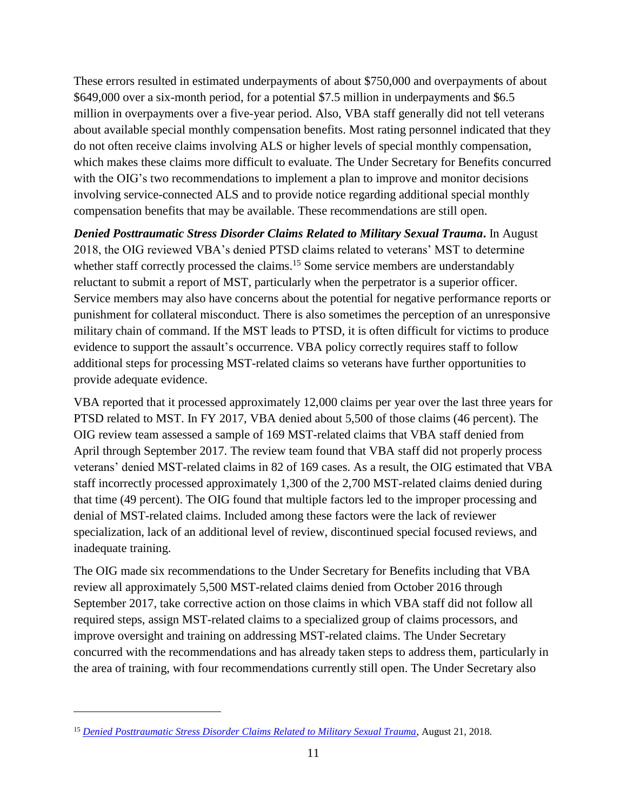These errors resulted in estimated underpayments of about \$750,000 and overpayments of about \$649,000 over a six-month period, for a potential \$7.5 million in underpayments and \$6.5 million in overpayments over a five-year period. Also, VBA staff generally did not tell veterans about available special monthly compensation benefits. Most rating personnel indicated that they do not often receive claims involving ALS or higher levels of special monthly compensation, which makes these claims more difficult to evaluate. The Under Secretary for Benefits concurred with the OIG's two recommendations to implement a plan to improve and monitor decisions involving service-connected ALS and to provide notice regarding additional special monthly compensation benefits that may be available. These recommendations are still open.

*Denied Posttraumatic Stress Disorder Claims Related to Military Sexual Trauma***.** In August 2018, the OIG reviewed VBA's denied PTSD claims related to veterans' MST to determine whether staff correctly processed the claims.<sup>15</sup> Some service members are understandably reluctant to submit a report of MST, particularly when the perpetrator is a superior officer. Service members may also have concerns about the potential for negative performance reports or punishment for collateral misconduct. There is also sometimes the perception of an unresponsive military chain of command. If the MST leads to PTSD, it is often difficult for victims to produce evidence to support the assault's occurrence. VBA policy correctly requires staff to follow additional steps for processing MST-related claims so veterans have further opportunities to provide adequate evidence.

VBA reported that it processed approximately 12,000 claims per year over the last three years for PTSD related to MST. In FY 2017, VBA denied about 5,500 of those claims (46 percent). The OIG review team assessed a sample of 169 MST-related claims that VBA staff denied from April through September 2017. The review team found that VBA staff did not properly process veterans' denied MST-related claims in 82 of 169 cases. As a result, the OIG estimated that VBA staff incorrectly processed approximately 1,300 of the 2,700 MST-related claims denied during that time (49 percent). The OIG found that multiple factors led to the improper processing and denial of MST-related claims. Included among these factors were the lack of reviewer specialization, lack of an additional level of review, discontinued special focused reviews, and inadequate training.

The OIG made six recommendations to the Under Secretary for Benefits including that VBA review all approximately 5,500 MST-related claims denied from October 2016 through September 2017, take corrective action on those claims in which VBA staff did not follow all required steps, assign MST-related claims to a specialized group of claims processors, and improve oversight and training on addressing MST-related claims. The Under Secretary concurred with the recommendations and has already taken steps to address them, particularly in the area of training, with four recommendations currently still open. The Under Secretary also

<sup>15</sup> *[Denied Posttraumatic Stress Disorder Claims Related to Military Sexual Trauma](https://www.va.gov/oig/pubs/VAOIG-17-05248-241.pdf)*, August 21, 2018.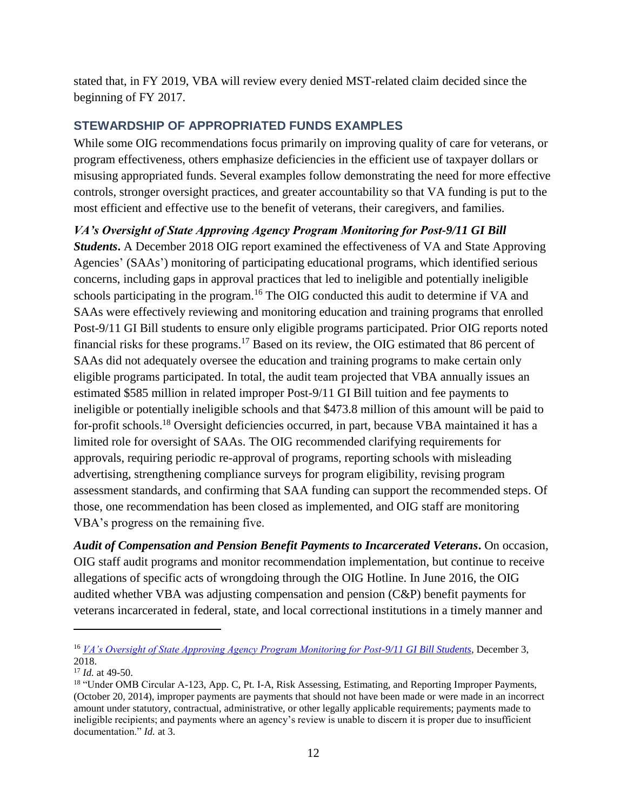stated that, in FY 2019, VBA will review every denied MST-related claim decided since the beginning of FY 2017.

# **STEWARDSHIP OF APPROPRIATED FUNDS EXAMPLES**

While some OIG recommendations focus primarily on improving quality of care for veterans, or program effectiveness, others emphasize deficiencies in the efficient use of taxpayer dollars or misusing appropriated funds. Several examples follow demonstrating the need for more effective controls, stronger oversight practices, and greater accountability so that VA funding is put to the most efficient and effective use to the benefit of veterans, their caregivers, and families.

*VA's Oversight of State Approving Agency Program Monitoring for Post-9/11 GI Bill* 

*Students***.** A December 2018 OIG report examined the effectiveness of VA and State Approving Agencies' (SAAs') monitoring of participating educational programs, which identified serious concerns, including gaps in approval practices that led to ineligible and potentially ineligible schools participating in the program.<sup>16</sup> The OIG conducted this audit to determine if VA and SAAs were effectively reviewing and monitoring education and training programs that enrolled Post-9/11 GI Bill students to ensure only eligible programs participated. Prior OIG reports noted financial risks for these programs.<sup>17</sup> Based on its review, the OIG estimated that 86 percent of SAAs did not adequately oversee the education and training programs to make certain only eligible programs participated. In total, the audit team projected that VBA annually issues an estimated \$585 million in related improper Post-9/11 GI Bill tuition and fee payments to ineligible or potentially ineligible schools and that \$473.8 million of this amount will be paid to for-profit schools.<sup>18</sup> Oversight deficiencies occurred, in part, because VBA maintained it has a limited role for oversight of SAAs. The OIG recommended clarifying requirements for approvals, requiring periodic re-approval of programs, reporting schools with misleading advertising, strengthening compliance surveys for program eligibility, revising program assessment standards, and confirming that SAA funding can support the recommended steps. Of those, one recommendation has been closed as implemented, and OIG staff are monitoring VBA's progress on the remaining five.

*Audit of Compensation and Pension Benefit Payments to Incarcerated Veterans***.** On occasion, OIG staff audit programs and monitor recommendation implementation, but continue to receive allegations of specific acts of wrongdoing through the OIG Hotline. In June 2016, the OIG audited whether VBA was adjusting compensation and pension (C&P) benefit payments for veterans incarcerated in federal, state, and local correctional institutions in a timely manner and

<sup>16</sup> *[VA's Oversight of State Approving Agency Program Monitoring for Post-9/11 GI Bill Students](https://www.va.gov/oig/pubs/VAOIG-16-00862-179.pdf)*, December 3, 2018.

<sup>17</sup> *Id.* at 49-50.

<sup>&</sup>lt;sup>18</sup> "Under OMB Circular A-123, App. C, Pt. I-A, Risk Assessing, Estimating, and Reporting Improper Payments, (October 20, 2014), improper payments are payments that should not have been made or were made in an incorrect amount under statutory, contractual, administrative, or other legally applicable requirements; payments made to ineligible recipients; and payments where an agency's review is unable to discern it is proper due to insufficient documentation." *Id.* at 3*.*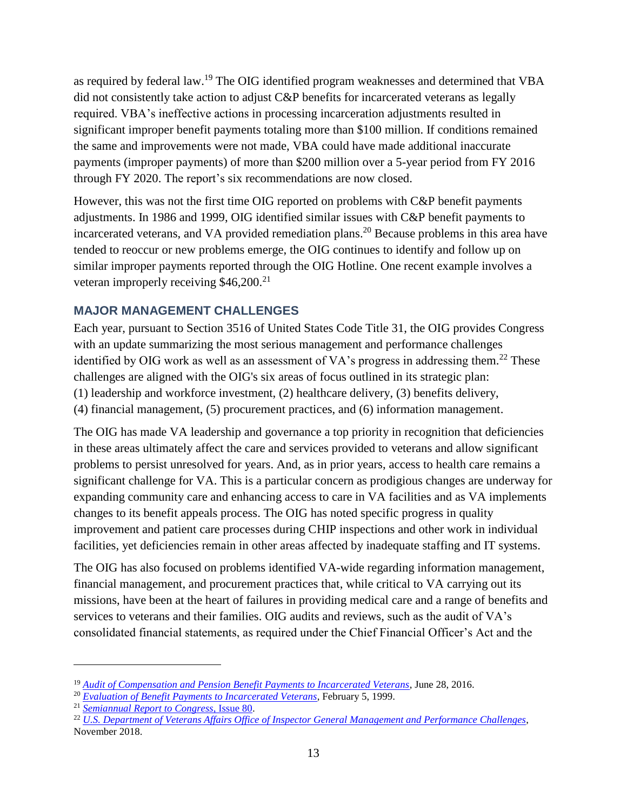as required by federal law.<sup>19</sup> The OIG identified program weaknesses and determined that VBA did not consistently take action to adjust C&P benefits for incarcerated veterans as legally required. VBA's ineffective actions in processing incarceration adjustments resulted in significant improper benefit payments totaling more than \$100 million. If conditions remained the same and improvements were not made, VBA could have made additional inaccurate payments (improper payments) of more than \$200 million over a 5-year period from FY 2016 through FY 2020. The report's six recommendations are now closed.

However, this was not the first time OIG reported on problems with C&P benefit payments adjustments. In 1986 and 1999, OIG identified similar issues with C&P benefit payments to incarcerated veterans, and VA provided remediation plans. <sup>20</sup> Because problems in this area have tended to reoccur or new problems emerge, the OIG continues to identify and follow up on similar improper payments reported through the OIG Hotline. One recent example involves a veteran improperly receiving \$46,200.<sup>21</sup>

## **MAJOR MANAGEMENT CHALLENGES**

Each year, pursuant to Section 3516 of United States Code Title 31, the OIG provides Congress with an update summarizing the most serious management and performance challenges identified by OIG work as well as an assessment of VA's progress in addressing them.<sup>22</sup> These challenges are aligned with the OIG's six areas of focus outlined in its strategic plan: (1) leadership and workforce investment, (2) healthcare delivery, (3) benefits delivery, (4) financial management, (5) procurement practices, and (6) information management.

The OIG has made VA leadership and governance a top priority in recognition that deficiencies in these areas ultimately affect the care and services provided to veterans and allow significant problems to persist unresolved for years. And, as in prior years, access to health care remains a significant challenge for VA. This is a particular concern as prodigious changes are underway for expanding community care and enhancing access to care in VA facilities and as VA implements changes to its benefit appeals process. The OIG has noted specific progress in quality improvement and patient care processes during CHIP inspections and other work in individual facilities, yet deficiencies remain in other areas affected by inadequate staffing and IT systems.

The OIG has also focused on problems identified VA-wide regarding information management, financial management, and procurement practices that, while critical to VA carrying out its missions, have been at the heart of failures in providing medical care and a range of benefits and services to veterans and their families. OIG audits and reviews, such as the audit of VA's consolidated financial statements, as required under the Chief Financial Officer's Act and the

<sup>19</sup> *[Audit of Compensation and Pension Benefit Payments to Incarcerated Veterans](https://www.va.gov/oig/pubs/VAOIG-13-02255-276.pdf)*, June 28, 2016.

<sup>20</sup> *[Evaluation of Benefit Payments to Incarcerated Veterans](https://www.va.gov/oig/52/reports/1999/9R3-B01-031.pdf)*, February 5, 1999.

<sup>21</sup> *[Semiannual Report to Congress](https://www.va.gov/oig/pubs/sars/vaoig-sar-2018-2.pdf)*, Issue 80.

<sup>22</sup> *[U.S. Department of Veterans Affairs Office of Inspector General Management and Performance Challenges](https://www.va.gov/oig/pubs/VAOIG-2018-MMC.pdf)*, November 2018.